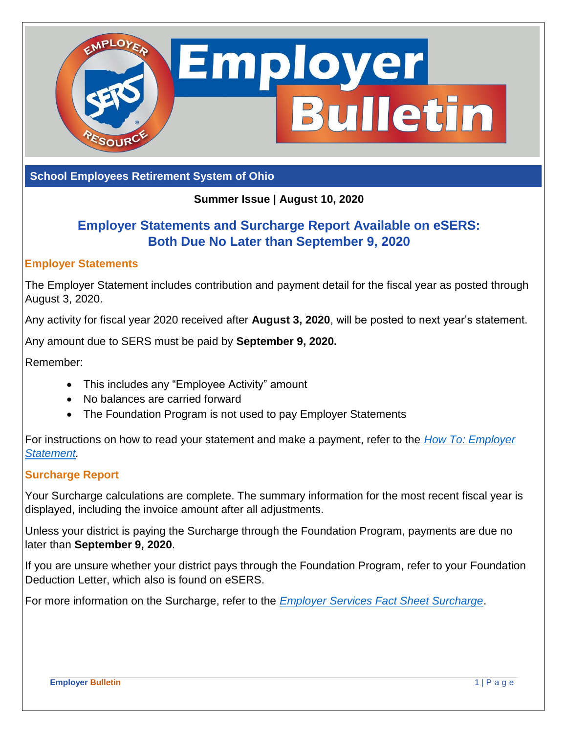

**School Employees Retirement System of Ohio**

## **Summer Issue | August 10, 2020**

# **Employer Statements and Surcharge Report Available on eSERS: Both Due No Later than September 9, 2020**

#### **Employer Statements**

The Employer Statement includes contribution and payment detail for the fiscal year as posted through August 3, 2020.

Any activity for fiscal year 2020 received after **August 3, 2020**, will be posted to next year's statement.

Any amount due to SERS must be paid by **September 9, 2020.** 

Remember:

- This includes any "Employee Activity" amount
- No balances are carried forward
- The Foundation Program is not used to pay Employer Statements

For instructions on how to read your statement and make a payment, refer to the *[How To: Employer](https://www.ohsers.org/wp-content/uploads/2018/08/EMP-7022-How-To-Employer-Statement.pdf)  [Statement.](https://www.ohsers.org/wp-content/uploads/2018/08/EMP-7022-How-To-Employer-Statement.pdf)*

#### **Surcharge Report**

Your Surcharge calculations are complete. The summary information for the most recent fiscal year is displayed, including the invoice amount after all adjustments.

Unless your district is paying the Surcharge through the Foundation Program, payments are due no later than **September 9, 2020**.

If you are unsure whether your district pays through the Foundation Program, refer to your Foundation Deduction Letter, which also is found on eSERS.

For more information on the Surcharge, refer to the *[Employer Services Fact Sheet Surcharge](https://www.ohsers.org/wp-content/uploads/2018/04/EMP-7009-Surcharge-Fact-Sheet.pdf)*.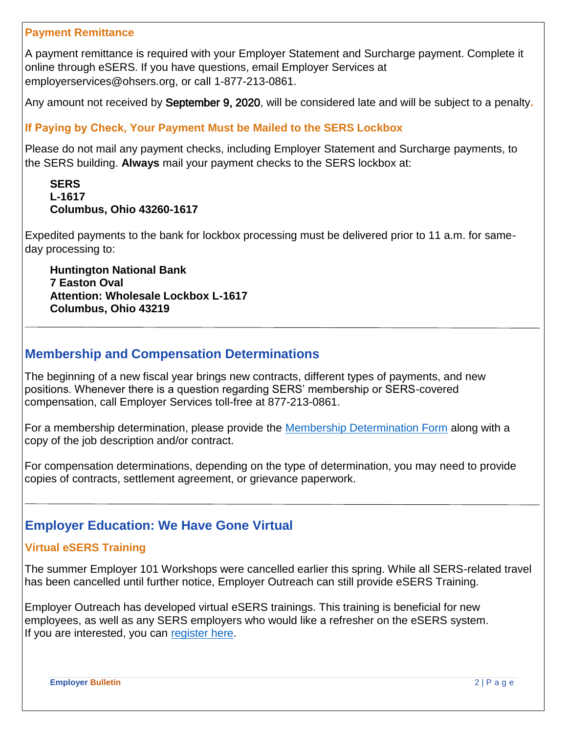#### **Payment Remittance**

A payment remittance is required with your Employer Statement and Surcharge payment. Complete it online through eSERS. If you have questions, email Employer Services at employerservices@ohsers.org, or call 1-877-213-0861.

Any amount not received by September 9, 2020, will be considered late and will be subject to a penalty**.** 

## **If Paying by Check, Your Payment Must be Mailed to the SERS Lockbox**

Please do not mail any payment checks, including Employer Statement and Surcharge payments, to the SERS building. **Always** mail your payment checks to the SERS lockbox at:

#### **SERS L-1617 Columbus, Ohio 43260-1617**

Expedited payments to the bank for lockbox processing must be delivered prior to 11 a.m. for sameday processing to:

**Huntington National Bank 7 Easton Oval Attention: Wholesale Lockbox L-1617 Columbus, Ohio 43219**

## **Membership and Compensation Determinations**

The beginning of a new fiscal year brings new contracts, different types of payments, and new positions. Whenever there is a question regarding SERS' membership or SERS-covered compensation, call Employer Services toll-free at 877-213-0861.

For a membership determination, please provide the [Membership Determination Form](http://www.ohsers.org/wp-content/uploads/2018/05/Membership-Determination-Form.pdf) along with a copy of the job description and/or contract.

For compensation determinations, depending on the type of determination, you may need to provide copies of contracts, settlement agreement, or grievance paperwork.

## **Employer Education: We Have Gone Virtual**

## **Virtual eSERS Training**

The summer Employer 101 Workshops were cancelled earlier this spring. While all SERS-related travel has been cancelled until further notice, Employer Outreach can still provide eSERS Training.

Employer Outreach has developed virtual eSERS trainings. This training is beneficial for new employees, as well as any SERS employers who would like a refresher on the eSERS system. If you are interested, you can [register here.](https://www.ohsers.org/employers/employer-education/workshops/)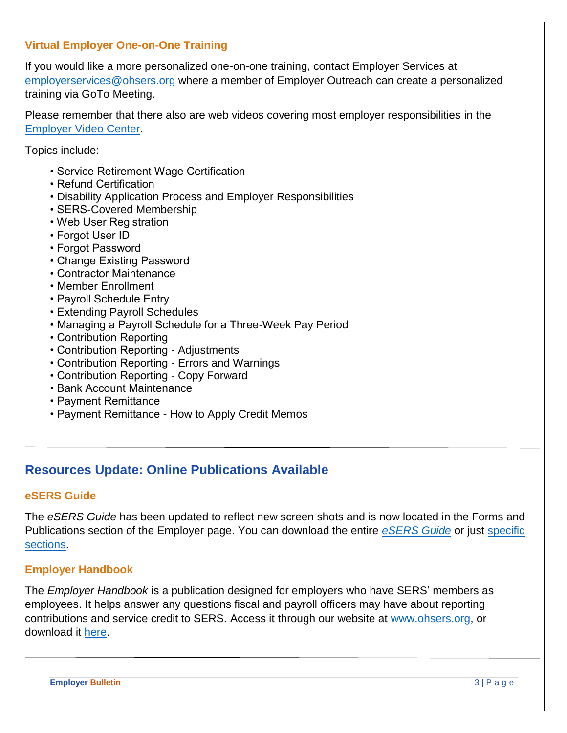## **Virtual Employer One-on-One Training**

If you would like a more personalized one-on-one training, contact Employer Services at [employerservices@ohsers.org](mailto:employerservices@ohsers.org) where a member of Employer Outreach can create a personalized training via GoTo Meeting.

Please remember that there also are web videos covering most employer responsibilities in the [Employer Video Center.](https://www.ohsers.org/employers/employer-education/video-center/)

Topics include:

- Service Retirement Wage Certification
- Refund Certification
- Disability Application Process and Employer Responsibilities
- SERS-Covered Membership
- Web User Registration
- Forgot User ID
- Forgot Password
- Change Existing Password
- Contractor Maintenance
- Member Enrollment
- Payroll Schedule Entry
- Extending Payroll Schedules
- Managing a Payroll Schedule for a Three-Week Pay Period
- Contribution Reporting
- Contribution Reporting Adjustments
- Contribution Reporting Errors and Warnings
- Contribution Reporting Copy Forward
- Bank Account Maintenance
- Payment Remittance
- Payment Remittance How to Apply Credit Memos

# **Resources Update: Online Publications Available**

#### **eSERS Guide**

The *eSERS Guide* has been updated to reflect new screen shots and is now located in the Forms and Publications section of the Employer page. You can download the entire *[eSERS Guide](https://www.ohsers.org/wp-content/uploads/2018/04/eSERS-Guide.pdf)* or just [specific](https://www.ohsers.org/employers/esers-information/guides/)  [sections.](https://www.ohsers.org/employers/esers-information/guides/)

## **Employer Handbook**

The *Employer Handbook* is a publication designed for employers who have SERS' members as employees. It helps answer any questions fiscal and payroll officers may have about reporting contributions and service credit to SERS. Access it through our website at [www.ohsers.org,](http://www.ohsers.org/) or download it [here.](https://www.ohsers.org/wp-content/uploads/2019/03/Employer-Handbook.pdf)